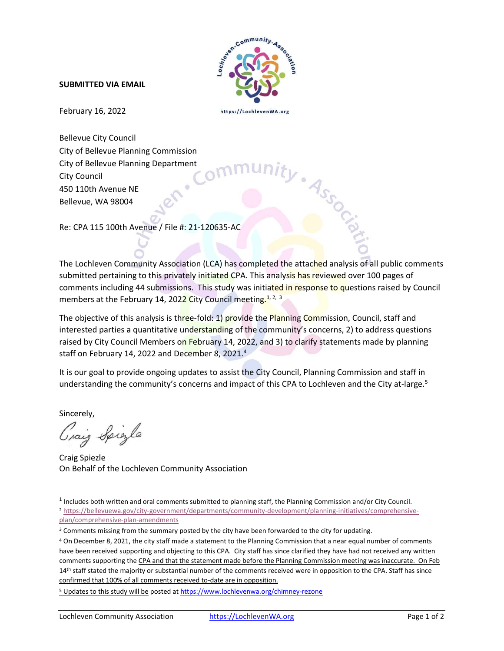

## SUBMITTED VIA EMAIL

February 16, 2022

https://LochlevenWA.org

Bellevue City Council City of Bellevue Planning Commission City of Bellevue Planning Department City Council 450 110th Avenue NE Bellevue, WA 98004

Re: CPA 115 100th Avenue / File #: 21-120635-AC

The Lochleven Community Association (LCA) has completed the attached analysis of all public comments submitted pertaining to this privately initiated CPA. This analysis has reviewed over 100 pages of comments including 44 submissions. This study was initiated in response to questions raised by Council members at the February 14, 2022 City Council meeting.<sup>1, 2, 3</sup>

The objective of this analysis is three-fold: 1) provide the Planning Commission, Council, staff and interested parties a quantitative understanding of the community's concerns, 2) to address questions raised by City Council Members on February 14, 2022, and 3) to clarify statements made by planning staff on February 14, 2022 and December 8, 2021.<sup>4</sup>

It is our goal to provide ongoing updates to assist the City Council, Planning Commission and staff in understanding the community's concerns and impact of this CPA to Lochleven and the City at-large.<sup>5</sup>

Sincerely,

Graig Spigle

Craig Spiezle On Behalf of the Lochleven Community Association

<sup>&</sup>lt;sup>1</sup> Includes both written and oral comments submitted to planning staff, the Planning Commission and/or City Council.

<sup>2</sup> https://bellevuewa.gov/city-government/departments/community-development/planning-initiatives/comprehensiveplan/comprehensive-plan-amendments

<sup>&</sup>lt;sup>3</sup> Comments missing from the summary posted by the city have been forwarded to the city for updating.

<sup>4</sup> On December 8, 2021, the city staff made a statement to the Planning Commission that a near equal number of comments have been received supporting and objecting to this CPA. City staff has since clarified they have had not received any written comments supporting the CPA and that the statement made before the Planning Commission meeting was inaccurate. On Feb 14<sup>th</sup> staff stated the majority or substantial number of the comments received were in opposition to the CPA. Staff has since confirmed that 100% of all comments received to-date are in opposition.

<sup>&</sup>lt;sup>5</sup> Updates to this study will be posted at https://www.lochlevenwa.org/chimney-rezone